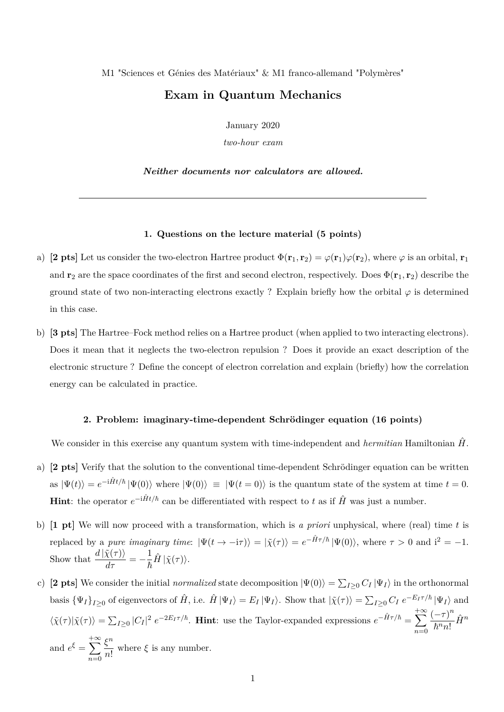M1 "Sciences et Génies des Matériaux" & M1 franco-allemand "Polymères"

## **Exam in Quantum Mechanics**

January 2020

*two-hour exam*

*Neither documents nor calculators are allowed.*

## **1. Questions on the lecture material (5 points)**

- a) **[2 pts]** Let us consider the two-electron Hartree product  $\Phi(\mathbf{r}_1, \mathbf{r}_2) = \varphi(\mathbf{r}_1)\varphi(\mathbf{r}_2)$ , where  $\varphi$  is an orbital,  $\mathbf{r}_1$ and **r**<sub>2</sub> are the space coordinates of the first and second electron, respectively. Does  $\Phi(\mathbf{r}_1, \mathbf{r}_2)$  describe the ground state of two non-interacting electrons exactly ? Explain briefly how the orbital  $\varphi$  is determined in this case.
- b) **[3 pts]** The Hartree–Fock method relies on a Hartree product (when applied to two interacting electrons). Does it mean that it neglects the two-electron repulsion ? Does it provide an exact description of the electronic structure ? Define the concept of electron correlation and explain (briefly) how the correlation energy can be calculated in practice.

## **2. Problem: imaginary-time-dependent Schrödinger equation (16 points)**

We consider in this exercise any quantum system with time-independent and *hermitian* Hamiltonian  $\hat{H}$ .

- a) **[2 pts]** Verify that the solution to the conventional time-dependent Schrödinger equation can be written as  $|\Psi(t)\rangle = e^{-i\hat{H}t/\hbar} |\Psi(0)\rangle$  where  $|\Psi(0)\rangle \equiv |\Psi(t=0)\rangle$  is the quantum state of the system at time  $t=0$ . **Hint**: the operator  $e^{-i\hat{H}t/\hbar}$  can be differentiated with respect to *t* as if  $\hat{H}$  was just a number.
- b) **[1 pt]** We will now proceed with a transformation, which is *a priori* unphysical, where (real) time *t* is replaced by a *pure imaginary time*:  $|\Psi(t \to -i\tau)\rangle = |\tilde{\chi}(\tau)\rangle = e^{-\hat{H}\tau/\hbar} |\Psi(0)\rangle$ , where  $\tau > 0$  and  $i^2 = -1$ . Show that  $\frac{d |\tilde{\chi}(\tau)\rangle}{d\tau} = -\frac{1}{\hbar}$  $\frac{1}{\hbar} \hat{H} \ket{\tilde{\chi}(\tau)}.$
- c) **[2 pts]** We consider the initial *normalized* state decomposition  $|\Psi(0)\rangle = \sum_{I\geq 0} C_I |\Psi_I\rangle$  in the orthonormal basis  $\{\Psi_I\}_{I\geq 0}$  of eigenvectors of  $\hat{H}$ , i.e.  $\hat{H}|\Psi_I\rangle = E_I|\Psi_I\rangle$ . Show that  $|\tilde{\chi}(\tau)\rangle = \sum_{I\geq 0} C_I e^{-E_I \tau/\hbar} |\Psi_I\rangle$  and  $\langle \tilde{\chi}(\tau) | \tilde{\chi}(\tau) \rangle = \sum_{I \geq 0} |C_I|^2 e^{-2E_I \tau/\hbar}$ . **Hint**: use the Taylor-expanded expressions  $e^{-\hat{H}\tau/\hbar} = \sum_{I \geq 0}$ *n*=0  $(-\tau)^n$  $\frac{(-\tau)}{\hbar^n n!} \hat{H}^n$ and  $e^{\xi} =$  $+\infty$ *ξ n*  $\frac{S}{n!}$  where  $\xi$  is any number.

*n*=0